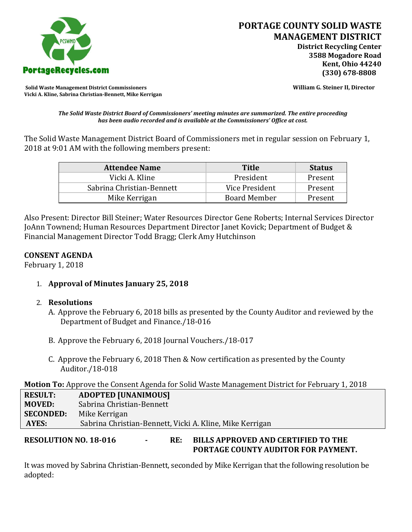

**Solid Waste Management District Commissioners William G. Steiner II, Director Vicki A. Kline, Sabrina Christian-Bennett, Mike Kerrigan** 

*The Solid Waste District Board of Commissioners' meeting minutes are summarized. The entire proceeding has been audio recorded and is available at the Commissioners' Office at cost.*

The Solid Waste Management District Board of Commissioners met in regular session on February 1, 2018 at 9:01 AM with the following members present:

| <b>Attendee Name</b>      | <b>Title</b>        | <b>Status</b> |
|---------------------------|---------------------|---------------|
| Vicki A. Kline            | President           | Present       |
| Sabrina Christian-Bennett | Vice President      | Present       |
| Mike Kerrigan             | <b>Board Member</b> | Present       |

Also Present: Director Bill Steiner; Water Resources Director Gene Roberts; Internal Services Director JoAnn Townend; Human Resources Department Director Janet Kovick; Department of Budget & Financial Management Director Todd Bragg; Clerk Amy Hutchinson

## **CONSENT AGENDA**

February 1, 2018

1. **Approval of Minutes January 25, 2018**

## 2. **Resolutions**

- A. Approve the February 6, 2018 bills as presented by the County Auditor and reviewed by the Department of Budget and Finance./18-016
- B. Approve the February 6, 2018 Journal Vouchers./18-017
- C. Approve the February 6, 2018 Then & Now certification as presented by the County Auditor./18-018

**Motion To:** Approve the Consent Agenda for Solid Waste Management District for February 1, 2018

| <b>RESULT:</b>   | <b>ADOPTED [UNANIMOUS]</b>                               |
|------------------|----------------------------------------------------------|
| <b>MOVED:</b>    | Sabrina Christian-Bennett                                |
| <b>SECONDED:</b> | Mike Kerrigan                                            |
| AYES:            | Sabrina Christian-Bennett, Vicki A. Kline, Mike Kerrigan |
|                  |                                                          |

## **RESOLUTION NO. 18-016 - RE: BILLS APPROVED AND CERTIFIED TO THE PORTAGE COUNTY AUDITOR FOR PAYMENT.**

It was moved by Sabrina Christian-Bennett, seconded by Mike Kerrigan that the following resolution be adopted: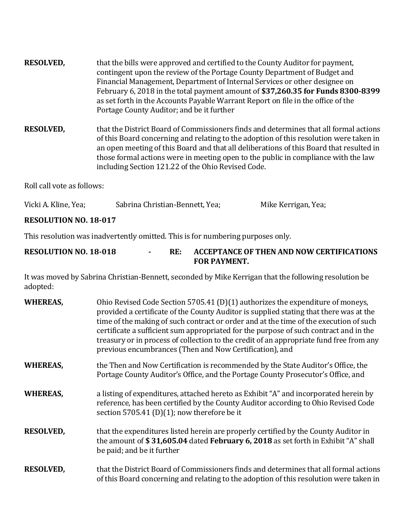- **RESOLVED,** that the bills were approved and certified to the County Auditor for payment, contingent upon the review of the Portage County Department of Budget and Financial Management, Department of Internal Services or other designee on February 6, 2018 in the total payment amount of **\$37,260.35 for Funds 8300-8399**  as set forth in the Accounts Payable Warrant Report on file in the office of the Portage County Auditor; and be it further
- **RESOLVED,** that the District Board of Commissioners finds and determines that all formal actions of this Board concerning and relating to the adoption of this resolution were taken in an open meeting of this Board and that all deliberations of this Board that resulted in those formal actions were in meeting open to the public in compliance with the law including Section 121.22 of the Ohio Revised Code.

Roll call vote as follows:

| Vicki A. Kline, Yea; | Sabrina Christian-Bennett, Yea; | Mike Kerrigan, Yea; |
|----------------------|---------------------------------|---------------------|
|                      |                                 |                     |

#### **RESOLUTION NO. 18-017**

This resolution was inadvertently omitted. This is for numbering purposes only.

## **RESOLUTION NO. 18-018 - RE: ACCEPTANCE OF THEN AND NOW CERTIFICATIONS FOR PAYMENT.**

It was moved by Sabrina Christian-Bennett, seconded by Mike Kerrigan that the following resolution be adopted:

| <b>WHEREAS,</b>  | Ohio Revised Code Section 5705.41 (D)(1) authorizes the expenditure of moneys,<br>provided a certificate of the County Auditor is supplied stating that there was at the<br>time of the making of such contract or order and at the time of the execution of such<br>certificate a sufficient sum appropriated for the purpose of such contract and in the<br>treasury or in process of collection to the credit of an appropriate fund free from any<br>previous encumbrances (Then and Now Certification), and |
|------------------|------------------------------------------------------------------------------------------------------------------------------------------------------------------------------------------------------------------------------------------------------------------------------------------------------------------------------------------------------------------------------------------------------------------------------------------------------------------------------------------------------------------|
| <b>WHEREAS,</b>  | the Then and Now Certification is recommended by the State Auditor's Office, the<br>Portage County Auditor's Office, and the Portage County Prosecutor's Office, and                                                                                                                                                                                                                                                                                                                                             |
| <b>WHEREAS,</b>  | a listing of expenditures, attached hereto as Exhibit "A" and incorporated herein by<br>reference, has been certified by the County Auditor according to Ohio Revised Code<br>section 5705.41 (D)(1); now therefore be it                                                                                                                                                                                                                                                                                        |
| <b>RESOLVED,</b> | that the expenditures listed herein are properly certified by the County Auditor in<br>the amount of \$31,605.04 dated February 6, 2018 as set forth in Exhibit "A" shall<br>be paid; and be it further                                                                                                                                                                                                                                                                                                          |
| <b>RESOLVED,</b> | that the District Board of Commissioners finds and determines that all formal actions<br>of this Board concerning and relating to the adoption of this resolution were taken in                                                                                                                                                                                                                                                                                                                                  |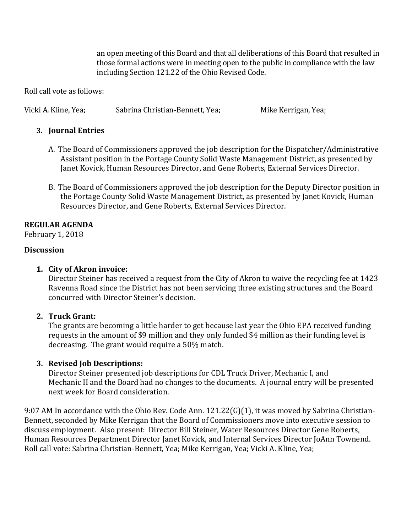an open meeting of this Board and that all deliberations of this Board that resulted in those formal actions were in meeting open to the public in compliance with the law including Section 121.22 of the Ohio Revised Code.

Roll call vote as follows:

Vicki A. Kline, Yea; Sabrina Christian-Bennett, Yea; Mike Kerrigan, Yea;

# **3. Journal Entries**

- A. The Board of Commissioners approved the job description for the Dispatcher/Administrative Assistant position in the Portage County Solid Waste Management District, as presented by Janet Kovick, Human Resources Director, and Gene Roberts, External Services Director.
- B. The Board of Commissioners approved the job description for the Deputy Director position in the Portage County Solid Waste Management District, as presented by Janet Kovick, Human Resources Director, and Gene Roberts, External Services Director.

# **REGULAR AGENDA**

February 1, 2018

# **Discussion**

# **1. City of Akron invoice:**

Director Steiner has received a request from the City of Akron to waive the recycling fee at 1423 Ravenna Road since the District has not been servicing three existing structures and the Board concurred with Director Steiner's decision.

# **2. Truck Grant:**

The grants are becoming a little harder to get because last year the Ohio EPA received funding requests in the amount of \$9 million and they only funded \$4 million as their funding level is decreasing. The grant would require a 50% match.

# **3. Revised Job Descriptions:**

Director Steiner presented job descriptions for CDL Truck Driver, Mechanic I, and Mechanic II and the Board had no changes to the documents. A journal entry will be presented next week for Board consideration.

9:07 AM In accordance with the Ohio Rev. Code Ann. 121.22(G)(1), it was moved by Sabrina Christian-Bennett, seconded by Mike Kerrigan that the Board of Commissioners move into executive session to discuss employment. Also present: Director Bill Steiner, Water Resources Director Gene Roberts, Human Resources Department Director Janet Kovick, and Internal Services Director JoAnn Townend. Roll call vote: Sabrina Christian-Bennett, Yea; Mike Kerrigan, Yea; Vicki A. Kline, Yea;